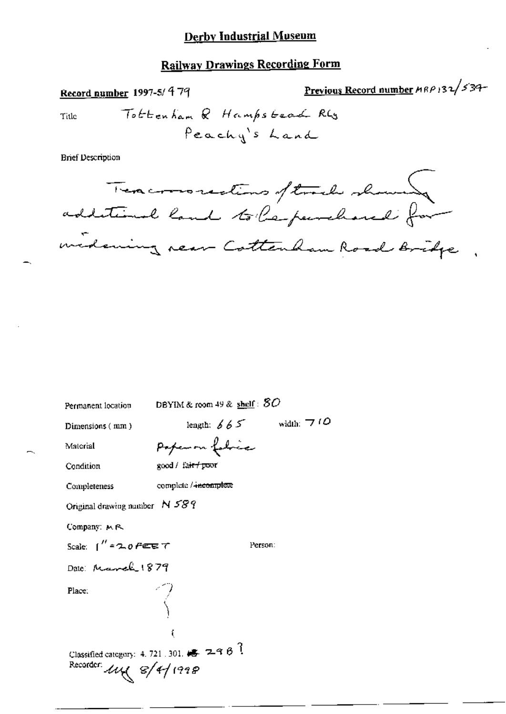## **Railway Drawings Recording Form**

Previous Record number MRP 132/534-Record number 1997-5/ 479 Tottenham & Hampstead RG Title Peachy's Land **Brief Description** Texamorestions of track showed additional land to leperchance for midening near Cottenham Road Bridge DBYIM & room 49 & shelf:  $80$ Permanent location length:  $665$  width:  $710$ Dimensions (mm) Paper on folice Material good / fair / poor Condition complete / incomplete Completeness Original drawing number N 589

Person:

Company: M.R.

Scale:  $1''$  = 2.0  $P$  et  $T$ 

Date: March 1879

Place:

Classified category: 4, 721, 301,  $\overline{\bullet}$  29  $\theta$  ? Recorder  $\mu$ <br> $\ll$   $\ll$  /4/1998

í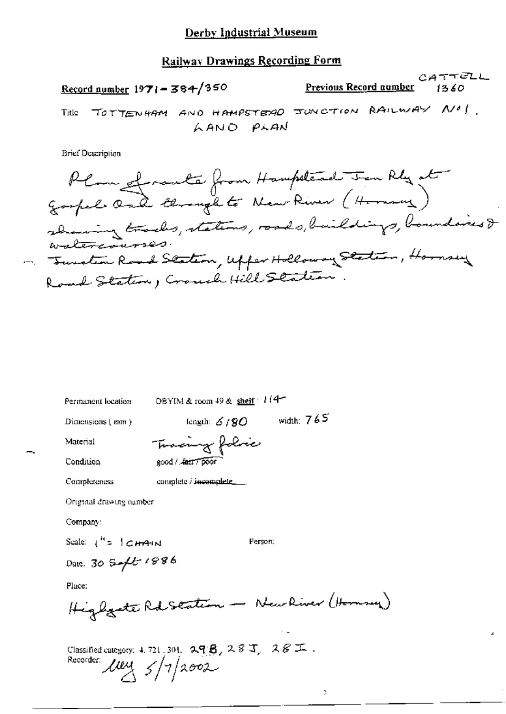## Railway Drawings Recording Form

CATTELL Record number  $1971 - 384/350$ Previous Record number  $1360$ Title TOTTENHAM AND HAMPSTERIO JUNCTION RAILWAY NO !. LAND PLAN

**Brief Description** 

| Permanent location      | DBYIM & room $49$ & shelf : $1/4$                                             |  |
|-------------------------|-------------------------------------------------------------------------------|--|
| Dimensions (mm)         | width: $765$<br>length: $6/90$                                                |  |
| Material                | Tracing folice                                                                |  |
| Condition               | good / fair / poor                                                            |  |
| Completeness            | complete / incomplete_                                                        |  |
| Original drawing namber |                                                                               |  |
| Company:                |                                                                               |  |
| Scale: $1'' = 1$ CHA-IN | Person:                                                                       |  |
| Date: 30 Sept 1886      |                                                                               |  |
| Place:                  |                                                                               |  |
|                         | Highgate Rd Seation - New River (Hornsey)                                     |  |
| Recorder:               | Classified category: 4, 721, 301, $29B$ , $28J$ , $28E$ .<br>$\mu = 5/7/2002$ |  |

J,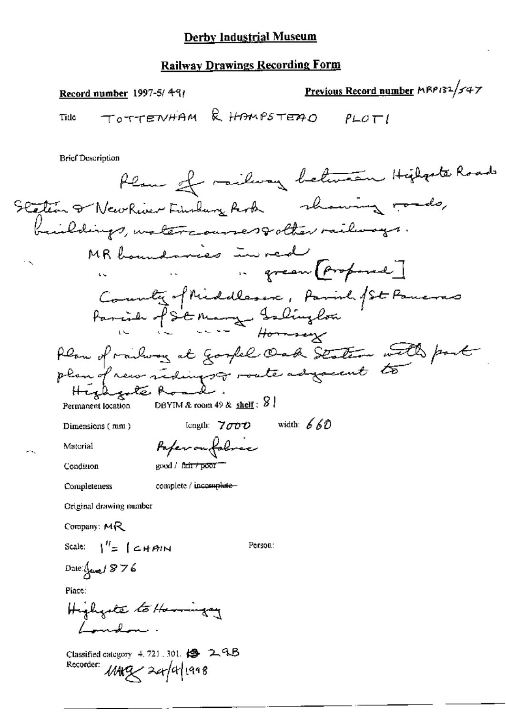### **Railway Drawings Recording Form**

Previous Record number MBP132/547 Record number  $1997-5/491$ TOTTENHAM & HAMPSTEAD Tide  $P \sqcup Q \sqsubset I$ **Brief Description** Plan of railway between Higharts Roads Scation & New River Findung Rock whowing roads, buildings, matercourses polter railways MR boundaries in red .. green (proposed) County of Middleson, Parish /St Paneras Parcier f S'e Mary Islington Plan of railway at Gospel Oak Station with part plan of new redings or roate adjacent to

Highgate Roa Permanent location

DBYIM & room 49 & shelf:  $\frac{8}{3}$ 

Paperonfolose

Dimensions (mm)

length:  $7000$  width:  $660$ 

Person:

Material

Condition

good / fair / poor

Completeness

complete / incomplete-

Original drawing number

Company: MR

Scale:  $1'' = 1$   $\epsilon$   $\mu$   $\sigma$   $\mu$ 

Date:  $\int_{\mathcal{V}}$  and  $\int_{\mathcal{V}}$   $\int_{\mathcal{V}}$   $\int_{\mathcal{V}}$ 

Place:

Highgate to Harringery / marshman

Classified category 4.721.301. (2 24B Recorder: MARZ 24/4/1998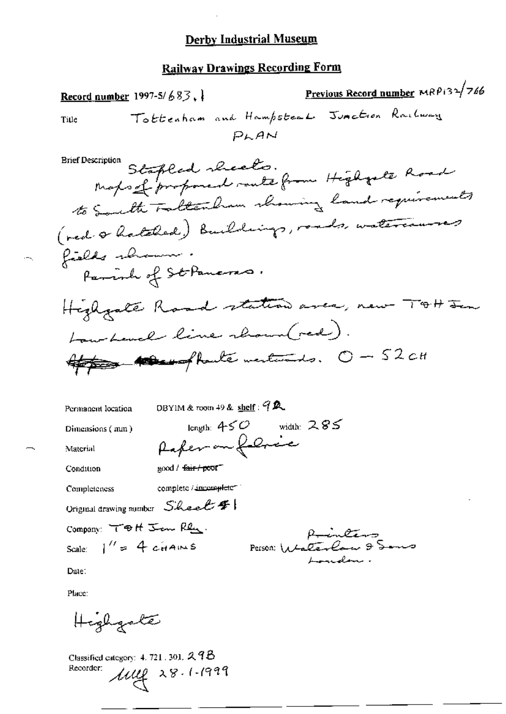### **Railway Drawings Recording Form**

Previous Record number MRP132/766 Record number 1997-5/683. Tottenham and Hampsteal Junction Railway Title  $PLAM$ xispuon Stapled sheets.<br>Maps of proposed route from Highgate Road **Brief Description** to South Fatter from channing land requirements (red & hatched) Buildings, roads, watercourses fields shown. Parish of St Paneras. Highgate Road station area, new TOH In Low Level line rhound red). Appear of haute mentants. O - 52 cm DBYIM & room 49 & shelf: 9 R Permanent location length:  $450$  width:  $285$ Dimensions (mm) Raferan force Material good / <del>fair / poo</del>f Condition complete / incompleter Completeness Original drawing number  $S$  heal  $f$ Company: TOH Jan Ren. Runters Person: Walterlaw 9 Sams Scale:  $1'' = 4$  cHAINS Londelan Date: Place:

Highgale

Classified category:  $4.721$ , 301,  $2.98$  $\mu$ ug 28.1.1999 Recorder: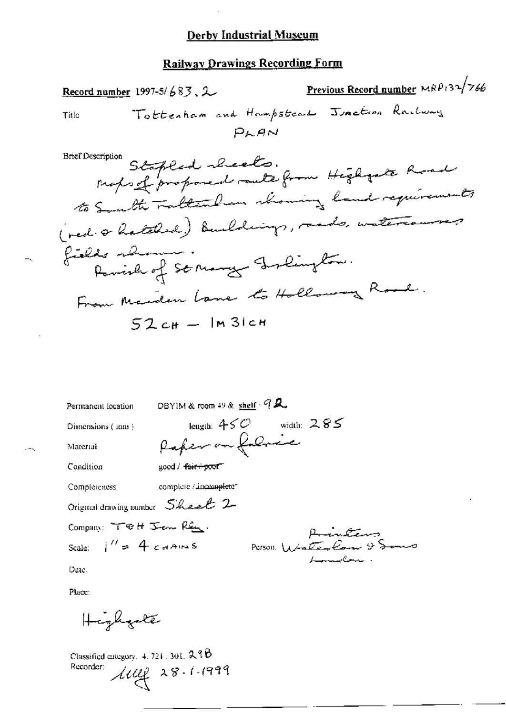### **Railway Drawings Recording Form**

Previous Record number MRP132/766 Record number 1997-5/683,  $2$ Tottenham and Hampsteal Junction Railway Title  $P<sub>AA</sub>$ xinpuon Stapled sheets.<br>Maps of proposed route from Highgate Road **Brief Description** to South Fatter Dun showing land requirements ( red. & hatched) Buildings, rands, watercourses Parish of St Mary Islington. fields almon From Marden Lane to Hollowing Road.  $52cH -$ Im 31ch DBYIM & room 49 & shelf  $Q$ Permanent location

Dimensions (mm)

Material

length:  $450$  width:  $285$ Raper on falmic good / fair+poof

Condition

Completeness complete / incomplete

Original drawing number Sheet 2

Company: TOH Jem Ren. Scale:  $1'' = 4$  cannes

Animations Person Wrater Com 9

Date.

Place:

Highgale

Classified category,  $4, 721, 301, 238$  $\mu$ uy 28.1.1999 Recorder: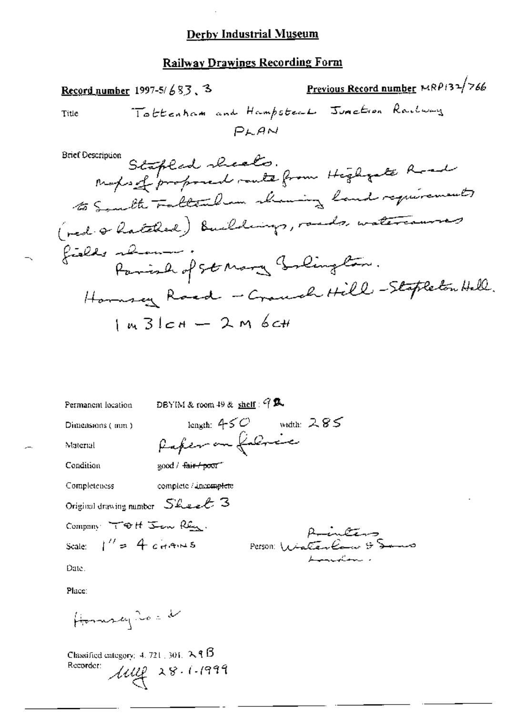#### Railway Drawings Recording Form

Previous Record number MRP132/766 Record number 1997-5/683.3 Tottenham and Hampsteal Junction Rachway Title  $P<sub>L</sub>AN$ mount Stapland sheats.<br>Maps of proposed route from Higharte Road **Brief Description** to Someth Fattenham chaning land requirements (red & hatched) Buildings, rands, watercourses fields almost Faminh of St Mary Golington. Hommey Road - Crouch Hill - Stapleton Hell.  $1.431cA - 2.96cH$ 

DBYIM & room 49 & shelf:  $9\%$ Permanent location length:  $450$  width: 285

good / fair poor

Dimensions (mm)

Rafer on followice

Condition

Material

Completeness complete / incomplete

Original drawing number  $S$  Lee  $\ell$  3

Company TOH Jen Ren.

Scale:  $1'' = 4$  cHAMS

Runters Person WinterCourt

Date.

Place:

Homman No = d

Classified category: 4, 721, 301,  $\lambda$  **9**  $\beta$  $\mu$ ug 28.1.1999 Recorder: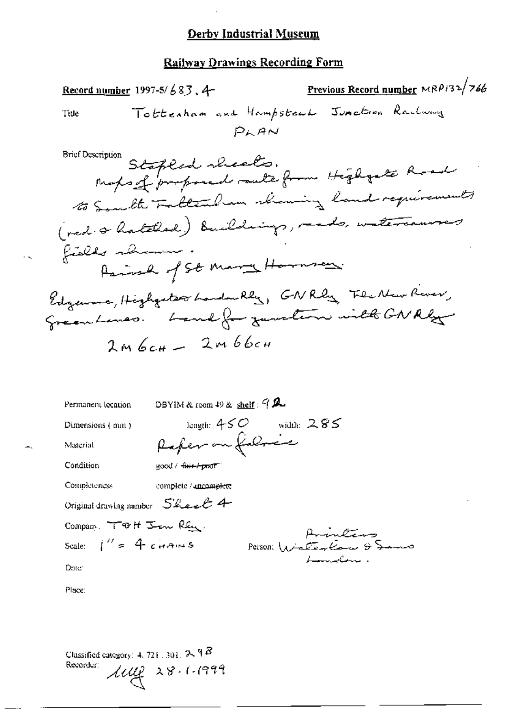#### **Railway Drawings Recording Form**

Previous Record number MRP132/766 <u>Record number</u> 1997-5/683, 4-Tottenham and Hampstead Junction Rachway Title  $P<sub>k</sub> A<sub>M</sub>$ mpuon Stapled sheets.<br>Maybe of proposed route from Highgate Road **Brief Description** to Someth Fattenham showing land requirements ( ned. & hatched) Buildings, reads, watercourses fields shown Parish of St Mary Hornsen. Edgeword, Highgates Landwilly, GNRly Flecken River, Greenhouses. Land for zuwelten will GNRhy  $2m6c#$   $-$  2m66cm DBYIM & room 49 & shelf:  $9\%$ Permanent lecation length:  $450$  width:  $285$ Dimensions (mm) Rafer on followice Material Condition good / fair poor Completeness complete / ancomplete Original drawing number  $S$  heart 4 Compan. TOH Jen Ren.

Scale:  $1'' = 4$  cHAINS

Aventino Person Winter ton & Samo

Date:

Place:

Classified category: 4, 721, 301,  $2\sqrt{9}B$ Recorder:  $100228.1.1999$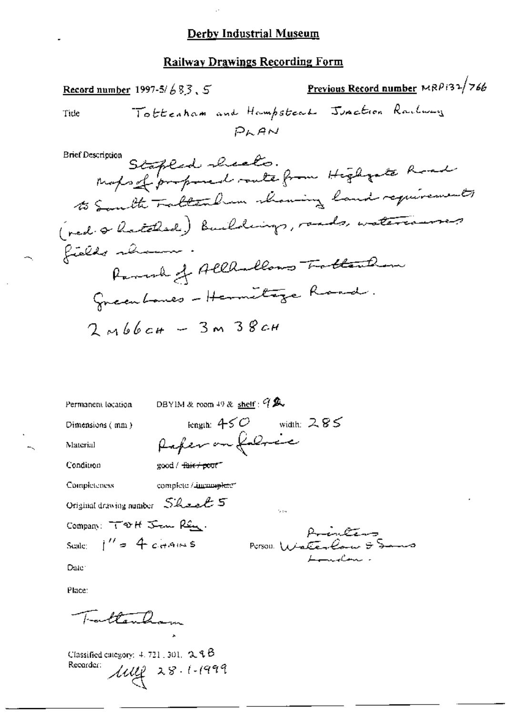#### **Railway Drawings Recording Form**

Previous Record number MRP132/766 Record number 1997-5/683,  $5$ Tottenham and Hampsteal Junction Railway Tide PLAN mon Stapland shoots.<br>Maps of proposed route from Higharte Road **Brief Description** to South Fallendren channing land requirements ( ned. & hatched) Buildings, rands, watercourses fields shown Ramsch of Allhallows Trottention Greenhouses - Hermitage Road.  $2mb6$   $cm - 3m38$   $cm -$ 

DBYIM & room  $49$  & shelf :  $9$   $\&$ Permanent location

 $\text{good}/\text{+}$ ais + pout

Dimensions (mm)

length:  $450$  width: 285 Rafer on fabric

s.

Condition

Material

Completeness complete / incomplete"

Original drawing number Sheet 5

Company: TVH Jan Ren. Scale  $1'' = 4$  chains

Aminitions Person Water Com  $\ddot{\tau}$ 

Date:

Place:

Fortland

Classified category:  $4.721$ , 301.  $2.9B$  $\mu$ ug 28.1.1999 Recorder: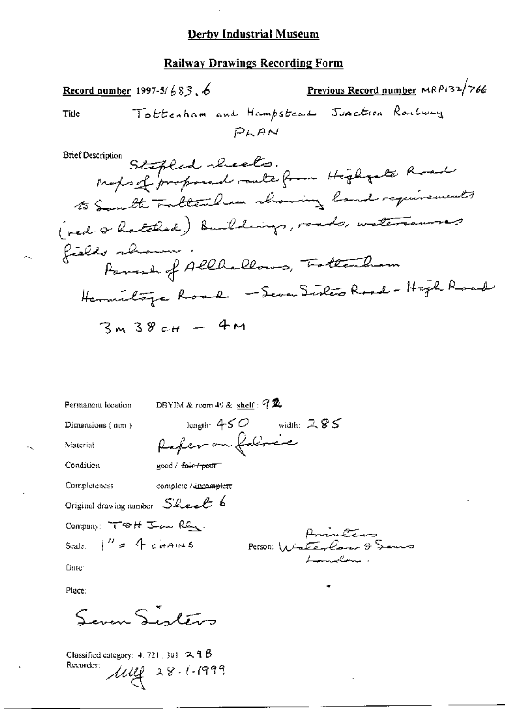#### Railway Drawings Recording Form

Previous Record number MRP132/766 Record number 1997-5/683, 6 Tottenham and Hampsteal Junction Railway Title PLAN mon Stapled checks.<br>Maps of proposed rate from Higharte Road **Brief Description** to South Fatter ham having land requirements ( red a hatched) Buildings, roads, watercourses fields shown Parade of Allhallows, Tottenham ilore Road - Seven Sixters Road - High Road

$$
3 \times 38 \times 4 = 4 M
$$

DBYIM & room 49 & shelf:  $92$ Permanent location length:  $450$  width:  $285$ Dimensions (mm) Rafer on followice Material Condition good / fair-roof Completeness complete / ancomplete Original drawing number  $S$ heel 6 Company: TOH Jan Ren. Aninken Scale:  $1'' = 4$  chains Person: Winterland & S Date:

Place:

Ħ.

Seman Sinters

Classified category:  $4.721 \pm 301$  **2. 9. B** Recorder:  $\mu$ uy 28.1.1999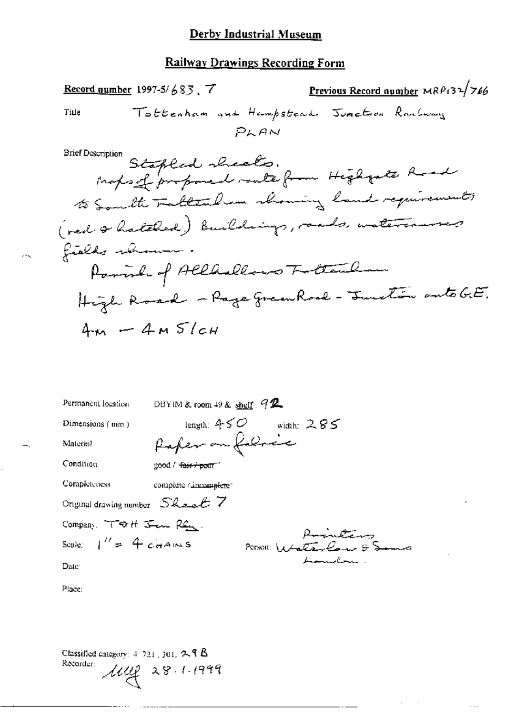### **Railway Drawings Recording Form**

Previous Record number  $MRP_132/766$ Record number 1997-5/683, 7 Tottenham and Hampstead Junction Rachway Title  $P<sub>k</sub>AN$ mount Stapled sheats.<br>Mapsof proposed route from Higharte Road **Brief Description** to South Fattenham having land requirements ( ned & hatched) Buildings, rands, watercourses fields shown Parish of Alladlows Tottenham High Road - Rage green Road - Function anto GE.  $4m - 4MS/cm$ 

| Permanent location                   | DBYIM & room 49 & shelf $92$     |
|--------------------------------------|----------------------------------|
| Dimensions (mm)                      | length: 450 $\,$<br>width: $285$ |
| Material                             | Paper on folioce                 |
| Condiuon                             | good / <del>fair / poor</del> "  |
| Completeness                         | complete / incomplete            |
| Original drawing number $S$ heel $7$ |                                  |
| Company. TOH Jan Ren.                | Printing                         |
| Scale: $\frac{1}{s}$ = 4 cHAINS      | Person: $1444\sqrt{2}$           |
| Date:                                | <del>handel</del> ni i           |
|                                      |                                  |

. . .

Place:

Classified category:  $4-721$ , 301,  $2.9$  B Recorder:  $\mu$   $\mu$  28.1.1999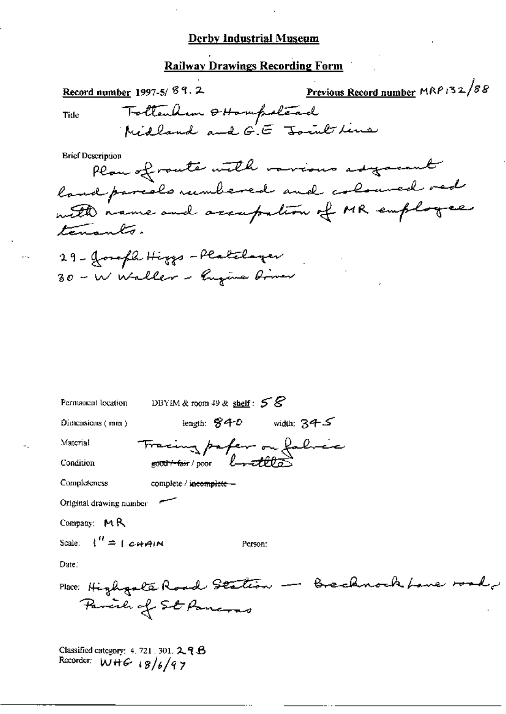### **Railway Drawings Recording Form**

Previous Record number MRP 132/88 Record number 1997-5/89.2 Tottenham & Hampstead Tide Midland and G.E Joint line **Brief Description** 

Plan of route with various adjacent land parcelo rumbered and coloured red with name and accupation of MR employees tenants.

29 - Joseph Higgs - Platchayer 30 - W Waller - Rugins Driver

| Permanent location DBYIM & room 49 & shelf : $58$ |
|---------------------------------------------------|
| length: $840$ width: $345$<br>$Dimensions$ (mm )  |
| Material<br>Fracing paper on fabric               |
| Condition                                         |
| Completeness<br>complete / incomplete -           |
| Original drawing number                           |
| Company: $M R$                                    |
| Scale: $\binom{n}{k} = \binom{n}{k}$<br>Person:   |
| Dute:                                             |
| Place: Highgale Road Station - Brechnock          |
| Parcile of St Pancras                             |
| Classified externer $4, 721, 301, 2, 9$           |

برنا<del>ئية في</del>ر تقييد

Recorder:  $W + G$  18/6/97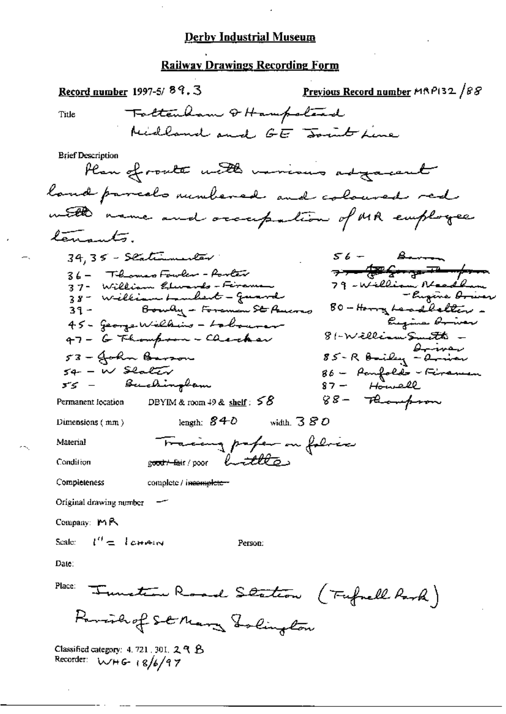# Railway Drawings Recording Form

| Record number 1997-5/89.3                                            | Previous Record number MAP132 /88                |
|----------------------------------------------------------------------|--------------------------------------------------|
| Tottenham & Hampstead<br>Title                                       |                                                  |
| Hidland and GE Joint Line                                            |                                                  |
| <b>Brief Description</b><br>Plan of route with various adjacent      |                                                  |
| land parcels minhered and coloured red                               |                                                  |
| with name and occupation of MR employee                              |                                                  |
| tenants.                                                             |                                                  |
| $34,35$ - Slatimum ter                                               | $56 -$ Berna                                     |
| 36 - Tilomas Fowler - Porter<br>37 - William <i>Glunyls - Firema</i> | <del>⋺⋺⋍⋬⋑⋦⋻⋥⋥⋥⋺⋔⋳</del><br>79 - William Neadlan |
| 38 - William Lambert - Guard                                         | - lugens <del>bou</del> er                       |
| 39 - Bowly - Foreman St Paucres                                      | 00 - Honny Leadbellan -<br>Eugene Orwer          |
| 45 - Jeonze Williams - Lobourer<br>47 - G Thompson - Checker         | 81-WilliamSmatts —                               |
| 53 - John Barson                                                     | 85 - R Bailey - arriver                          |
| $54 - W$ Slater                                                      | 86 - Paufolds - Firaman                          |
| 55 — Buchin <del>g</del> bam                                         | $87 -$ Howell                                    |
| DBYIM & room $49$ & shelf: $58$<br>Permanent location                | $88-7$ Rompson                                   |
| length: $840$<br>Dimensions $(mn)$                                   | width, $380$                                     |
| Tracing profer on follows<br>Material                                |                                                  |
| g <del>oot/tai</del> r/poor buttles<br>Condition                     |                                                  |
| Completeness<br>complete / incomplete-                               |                                                  |
| Original drawing number                                              |                                                  |
| Company: $M \mathbb{R}$                                              |                                                  |
| $l''=l$ chain<br>Scale:<br>Person:                                   |                                                  |
| Date:                                                                |                                                  |
| Place:<br>Tunction Road Station (Fufnell Rank)                       |                                                  |
| Parishof St Mary Tolington                                           |                                                  |
| Classified category: 4, 721, 301, $29B$<br>Recorder: WHG $(8/6/97)$  |                                                  |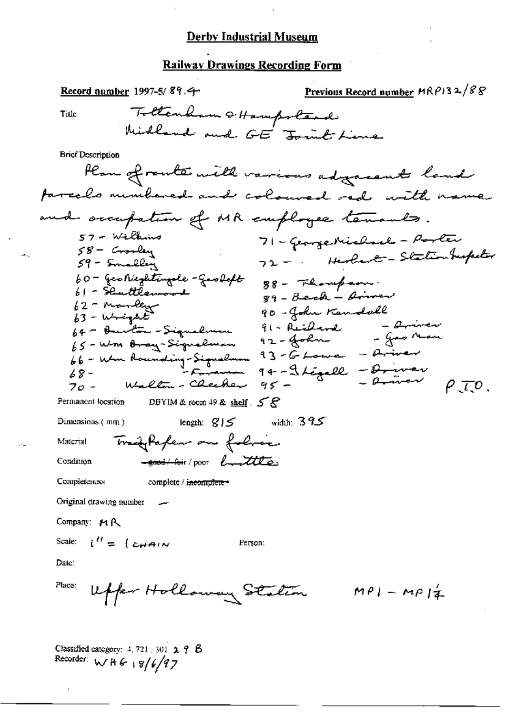#### **Railway Drawings Recording Form**

Previous Record number  $HRP$ 32/88 Record number 1997-5/89.4 Tottenham + Hampstead Title Widland and GE Joint Line **Brief Description** Plan of route with various adjacents land farcels minibered and coloured red with name and occupation of MR employee tenants.  $57 -$  Williams 71 - George Michael - Porter  $58-$  Grosley 72 - Hirland - Stationhupeter  $59 - 5$ malley 60 - Geonieghtingde-Gaoloft 88 - Flompson.  $61 - \frac{2}{3}$  cuttlemand  $gq - \beta$ ach - Aires  $62$  - Mandage 90 - John Kendall  $63 - \omega + \omega + E$ 91 - Reicherd - Ariver<br>92 - John - Jas Man 64 - Burton - Signalman 64 - Burton - Signalman 92 - Joan<br>66 - Wm Branding-Signalman 93 - G Louis - Briver<br>68 - Wm Bounding-Signalman 94 - Stegall - Briver p. T.O. DBYIM & room 49 & shelf  $5R$ Permanent location iength:  $g$  |  $\leq$  width: 395 Dimensions  $(m\pi)$ Trady Paper on follow Material -soont-four/poor buttle Condition Completeness complete / i<del>ncomplete -</del> Original drawing number Company: MR Scale:  $l'' = L_H A(N)$ Person: Date: Place: Upper Holloway Station  $MPI-MPI_{\pm}$ 

Classified category:  $4, 721, 301, 2, 7, 8$ Recorder:  $W H G + 8/6/97$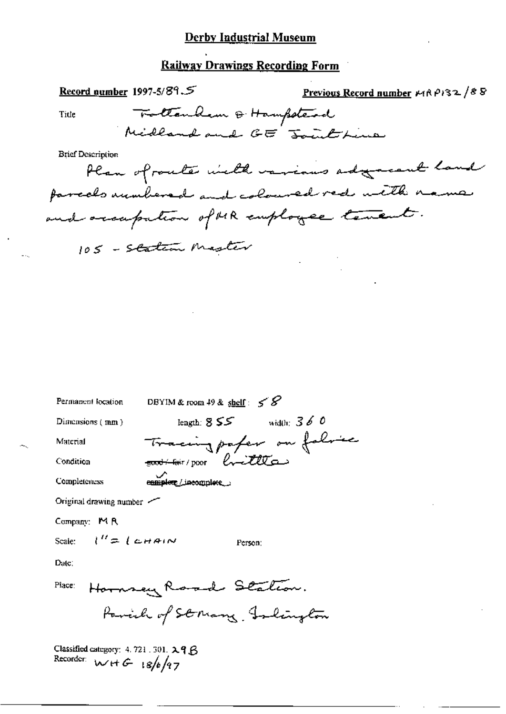# **Railway Drawings Recording Form**

 $\overline{a}$ .

| Record number 1997-5/89. $\mathcal{S}$                          |                                                                         | Previous Record number $\kappa$ (RP) 32/88  |
|-----------------------------------------------------------------|-------------------------------------------------------------------------|---------------------------------------------|
| Title                                                           | Tottankem & Hampstead                                                   |                                             |
|                                                                 | Midland and GE Jourthine                                                |                                             |
| <b>Brief Description</b>                                        |                                                                         |                                             |
|                                                                 |                                                                         | Plan of router with various adgressed land  |
|                                                                 |                                                                         | farcels unmbered and coloured red with name |
|                                                                 | and occupation of MR employee tenent.                                   |                                             |
|                                                                 |                                                                         |                                             |
|                                                                 | 105 - Station Mester                                                    |                                             |
|                                                                 |                                                                         |                                             |
|                                                                 |                                                                         |                                             |
|                                                                 |                                                                         |                                             |
|                                                                 |                                                                         |                                             |
|                                                                 |                                                                         |                                             |
|                                                                 |                                                                         |                                             |
| Permanent location                                              | DBYIM & room 49 & shelf: $58$                                           |                                             |
| Dimensions (mm)                                                 | length: $855$ width: $360$                                              |                                             |
| Material                                                        |                                                                         |                                             |
| Condition                                                       | Tracing paper on folice<br>hittle<br><del>_ इक्रवे ⁄ सिं</del> ग / poor |                                             |
| <b>Completeness</b>                                             | enmolene / incomplete                                                   |                                             |
| Original drawing number ~                                       |                                                                         |                                             |
| Company: $M \, R$                                               |                                                                         |                                             |
| $l'' = l$ chain<br>Scale:                                       |                                                                         |                                             |
| Date:                                                           | Person:                                                                 |                                             |
|                                                                 |                                                                         |                                             |
| Place:                                                          | Hornsey Raad Station.                                                   |                                             |
|                                                                 | Parish of Strang, Islington                                             |                                             |
| Classified category: 4.721.301. 29 B<br>Recorder: $wHG$ 18/6/97 |                                                                         |                                             |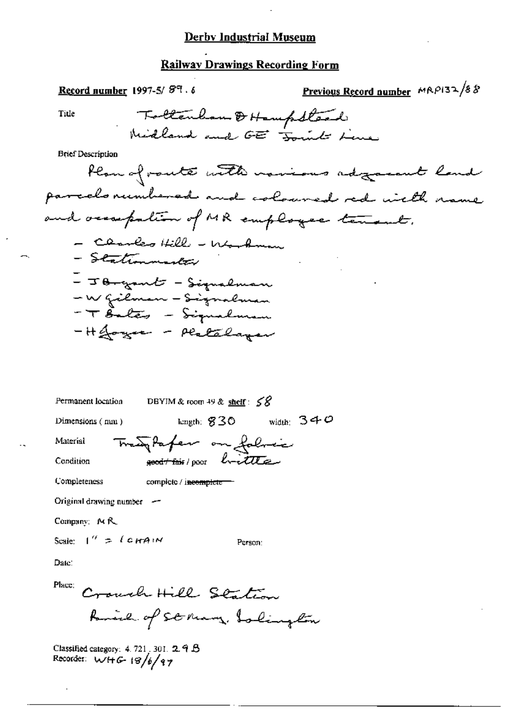#### Railway Drawings Recording Form

Previous Record number  $MAP132/88$ Record number 1997-5/89.6 Tottenham & Hampstead Title Midland and GET Joint Line **Brief Description** Plan of route with novious adjournt land parcelo rumbered and coloured red with rame and occupation of MR employee tenant. - Charles Hill - Werkman - Stationmarker - J <del>B-gant</del> - Signalman -Wgilman - Signalman<br>- T Bales - Signalman - H Joyce - Platalayer Permanent location DBYIM & room 49 & shelf :  $58$ width:  $340$ length:  $$30$ Dimensions (nuu) Transpaper on folmer Material good this poor brittle Condition Completeness complete / incomplete-Original drawing number  $-$ 

Company: MR

Scale:  $1'' = \ell$  c *HAIN* 

Person:

Date:

Place: Crouch Hill Station Raine of St Mary, Islington

Classified category:  $4.721$ , 301.  $2.9B$ Recorder:  $W + G - 18/6/97$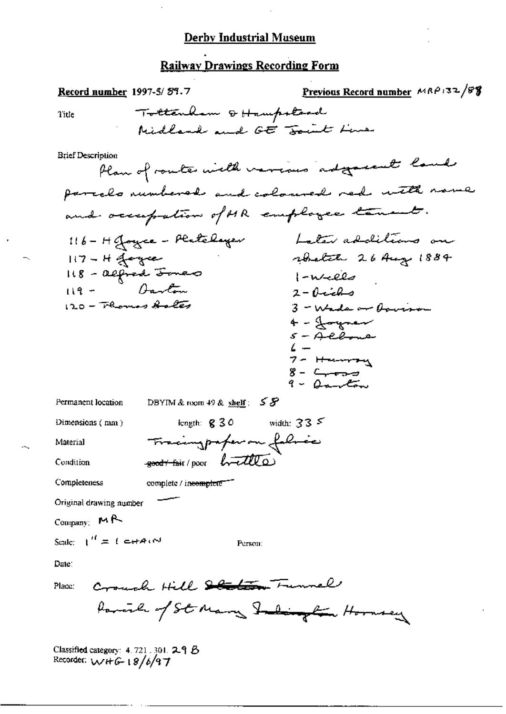# Railway Drawings Recording Form

| <u>Record number</u> 1997-5/89.7                           | Previous Record number MRP132/88             |
|------------------------------------------------------------|----------------------------------------------|
| Tottenham & Hampstord<br>Title                             |                                              |
| Midland and GE Fourt Line                                  |                                              |
| <b>Brief Description</b>                                   | Plan of routes with verious adjectment lands |
|                                                            | parcelo numbered and coloured red with name  |
| and occupation of MR employee tenant.                      |                                              |
| 116 - H Joyce - Platelayer                                 | Later additions on                           |
| $117 - H$ of engrees                                       | whetate 26 Aug 1884                          |
| II8 - alfred <del>Jone</del> r                             | $\left\{ -\omega_{\text{eff}}\right\}$       |
| $119 - 0$ arton                                            | $2 - 0$ ichs                                 |
| 120 - Flomas Aales                                         | $3 - W$ de or formo                          |
|                                                            | 4 - Joynew                                   |
|                                                            | 5 – Allone                                   |
|                                                            | $7-$ Hermont                                 |
|                                                            | 8- <del>Creas</del>                          |
|                                                            | 9 - Danton                                   |
| DBYIM & room 49 & shelf: $55$<br>Permanent location        |                                              |
| length: $830$ width: $335$<br>Dimensions $( \text{ nm } )$ |                                              |
| Tracingpaper on fabric<br>Material                         |                                              |
| $k\bar{\tau}$<br>-geod + fair / poor<br>Condition          |                                              |
| Completeness<br>complete / incomplete                      |                                              |
| Original drawing number                                    |                                              |
| $_{\rm Company}$ MR                                        |                                              |
| Scale: $1'' = 1$ c+A(N)<br>Person:                         |                                              |
| Date:                                                      |                                              |
| Crough Hill Station Funnel<br>Place:                       |                                              |
| family of St Mary Salington Hornsey                        |                                              |
|                                                            |                                              |

Classified category: 4.721.301. 29 B<br>Recorder:  $W + G - 18/6/97$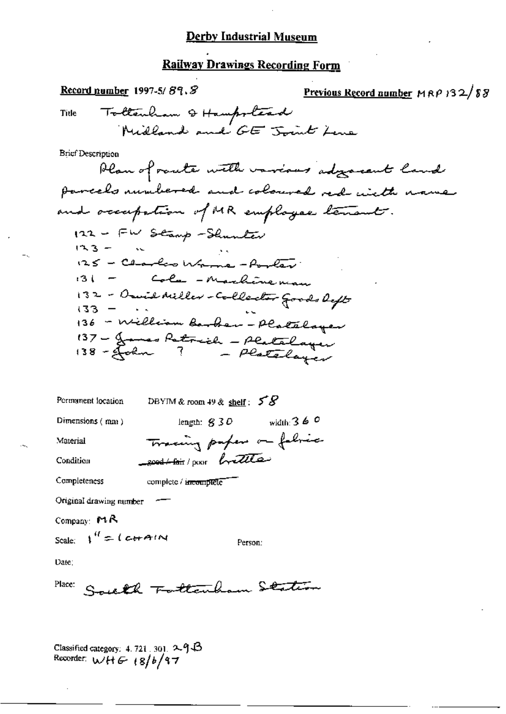# Railway Drawings Recording Form

| Record number 1997-5/89, S                                                                                                                                                                                                          | Previous Record number $MRP$ 132/88 |
|-------------------------------------------------------------------------------------------------------------------------------------------------------------------------------------------------------------------------------------|-------------------------------------|
| Title Tollenham & Hampstead<br>Midland and GE Joint Lene                                                                                                                                                                            |                                     |
| Brief Description<br>Plan of route with various adgressent land<br>parcels unubered and coloured red with name                                                                                                                      |                                     |
| and occupation of MR employee tenants.<br>122 - FW Stamp-Shunter<br>いころ 一<br>125 - Charles Warne - Porter<br>131 - Cola - Machineman<br>132 - Omil Miller - Collector Goods left<br>$(33 - 4)$<br>136 - William Barber - Platelager |                                     |
| 137 - James Petrich - Platelager<br>138 - John 7 - Platelager                                                                                                                                                                       |                                     |
| Permanent location<br>DBYIM & room 49 & shelf: $58$                                                                                                                                                                                 |                                     |
| length: $830$ width: $360$<br>Dimensions $(mn)$                                                                                                                                                                                     |                                     |
| Tracing paper on fabric<br>Material                                                                                                                                                                                                 |                                     |
| Condition<br>2004-loir/poor brettle                                                                                                                                                                                                 |                                     |
| Completeness<br>complete / incomplete                                                                                                                                                                                               |                                     |
| Original drawing number                                                                                                                                                                                                             |                                     |
| Company: $MA$                                                                                                                                                                                                                       |                                     |
| Scale: $V'' = (c + A/N)$<br>Person:                                                                                                                                                                                                 |                                     |
| Date:                                                                                                                                                                                                                               |                                     |
| Place:<br>South Fattenham Station                                                                                                                                                                                                   |                                     |

Classified category: 4.721.301. 2913<br>Recorder:  $w/H \leftarrow 18/b/97$ 

 $-$ .

Щ,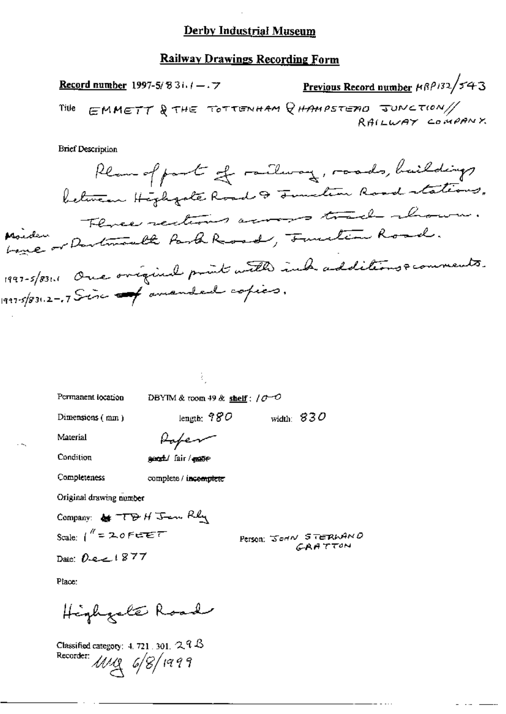#### **Railway Drawings Recording Form**

Previous Record number 18P132/543 **Record number** 1997-5/83i.  $1 - 7$ EMMETT & THE TOTTENHAM QHAMPSTEAD JUNCTION/ Title RAILWAY COMPANY

**Brief Description** 

Plan of part of railway, roads, buildings between Highgate Road & Junction Road stations. Three rections across track abour. Marchen or Dartmouth Part Road, Function Road. 1997-5/831.1 One original point with indicadditions & comments. 1997-5/831.2-17 Sinc - pamanded copies.

Permanent location

DBYIM & room 49 & shelf:  $10^{-7}$ 

Dimensions (mm)

length:  $980$ width:  $830$ 

Material

Rafer

Condition

geral/ fair / mape

Completeness

complete / incomplete

Original drawing number

Company: & TDH Jem Rhy Scale:  $1'' = 20$  FEET

Person: JOHN STERWAND **GRATTON** 

Date:  $0.221877$ 

Place:

Highgale Road

Classified category:  $4.721 \cdot 301.$  2.  $9.8$ Recorder: MMg 6/8/1999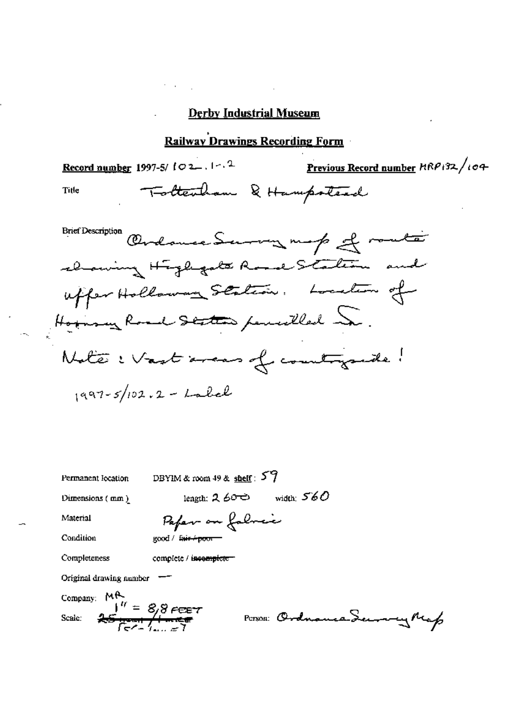### Railway Drawings Recording Form

Record number 1997-5/  $102...$   $1 - 1$   $2$  Previous Record number  $RRP + 32$ / $104$ Title Tottenham & Hampstead

Brief Description Obrahamere Servery map of route alaming Highgate Rosal Station and uffer Hollaway Station. Location of  $\frac{1}{997-5}/102.2-$  Label

| Permanent location                        | DBYIM & room 49 & shelf: $54$                                            |
|-------------------------------------------|--------------------------------------------------------------------------|
| Dimensions (mm)                           | width: $560$<br>length: $2.60$                                           |
| Material                                  | Paper on folmer                                                          |
| Condition                                 | good / fair + poor -                                                     |
| Completeness                              | complete / incomplete                                                    |
| Original drawing number                   |                                                                          |
| Company: $M_{\frac{1}{2}H}^{\frac{1}{2}}$ |                                                                          |
| Scale:                                    | $\frac{1}{25}$ $\frac{1}{10}$ = 8,8 Feet<br>POTSOR: Ordnance Secondy Map |
|                                           |                                                                          |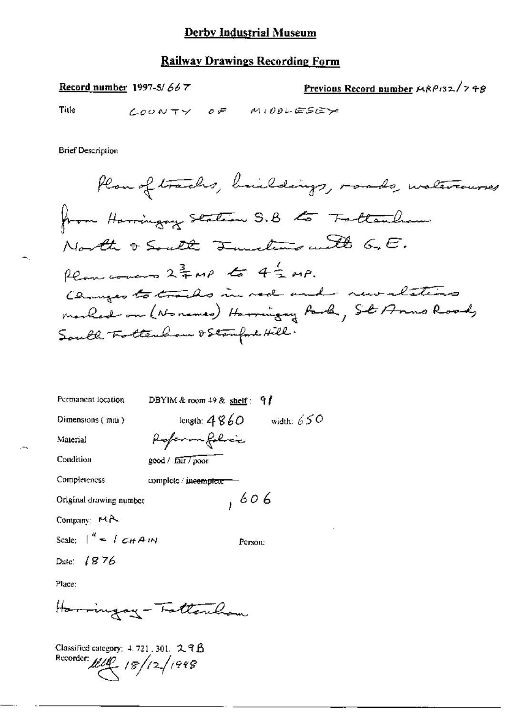### Railway Drawings Recording Form

Record number 1997-5/667

Previous Record number  $MRP_{132}/798$ 

Title

LOONTY OF MIDDLESEY

**Brief Description** 

| Permanent location              | DBYIM & room $49$ & shelf: 9 |
|---------------------------------|------------------------------|
| Dimensions $(mn)$               | length: $4860$ width: $650$  |
| Material                        | Apperan folici               |
| Condition                       | good / fair / poor           |
| Completeness                    | complete incomplete          |
| Original drawing number         | , 606                        |
| Company: MA                     |                              |
| Scale: $\int_0^R = \int cH A M$ | Person:                      |
| Date: $1876$                    |                              |
| Place:                          |                              |

Harringay-Fattercham

Classified category: 4, 721, 301, 2, 9 B Recorder  $\mu\mu$  18/12/1998

∽.,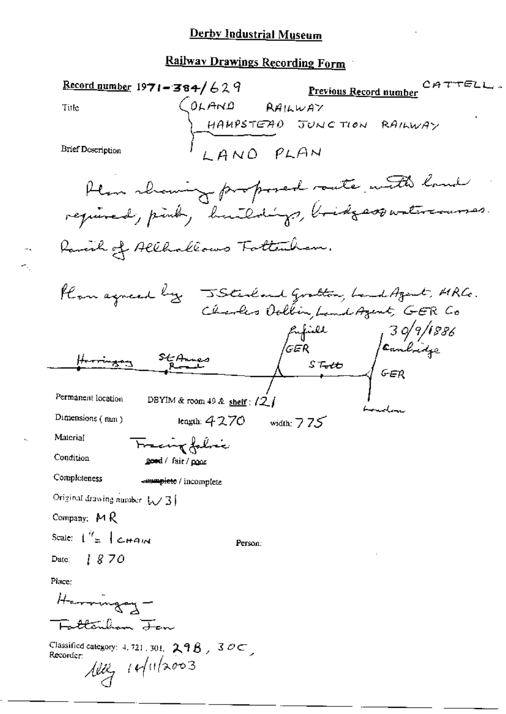# Railway Drawings Recording Form

| Record number 19 <b>71–384/</b> 629                                                                                         |                                      |                                   | CATTELL<br>Previous Record number                                                         |
|-----------------------------------------------------------------------------------------------------------------------------|--------------------------------------|-----------------------------------|-------------------------------------------------------------------------------------------|
| Title                                                                                                                       |                                      |                                   |                                                                                           |
|                                                                                                                             |                                      |                                   | $\begin{cases}$ OLAND RAILWAY<br>HAMPSTEAD JUNCTION RAILWAY                               |
| <b>Brief Description</b>                                                                                                    |                                      | LAND PLAN                         |                                                                                           |
|                                                                                                                             |                                      |                                   | Hem showing proposed saute with land<br>required, pink, huildings, bridgesspartercourses. |
|                                                                                                                             | Karenh of Allhallows Tottenham.      |                                   |                                                                                           |
|                                                                                                                             |                                      |                                   | flan agneed by JSterland Gratton, band Azent, MRCo.<br>Charles Oolbin, band Azent, GER Co |
|                                                                                                                             | St Annes                             | $\sqrt{GER}$<br>ST <del>elo</del> | 139/9/1886<br>Canbridge<br>1 GER                                                          |
| Permanent location                                                                                                          | DBYIM & room 49 & shelf : $\sqrt{2}$ |                                   | bouden                                                                                    |
| Dimensions (mm)                                                                                                             | length: $4270$                       | width: $775$                      |                                                                                           |
| Material                                                                                                                    | Fracing falmic                       |                                   |                                                                                           |
| Condition                                                                                                                   | <u>e</u> eed / fair / p <u>oor</u>   |                                   |                                                                                           |
| Completeness                                                                                                                | sumplete / incomplete                |                                   |                                                                                           |
| Original drawing number $\sqrt{3}$                                                                                          |                                      |                                   |                                                                                           |
| Company: $M R$                                                                                                              |                                      |                                   |                                                                                           |
| Scale: $\int_{-\infty}^{\infty}$ $\int_{\mathcal{L}}$ $\mathcal{L}$ $\mathcal{L}$ $\mathcal{L}$ $\mathcal{L}$ $\mathcal{L}$ | Person:                              |                                   |                                                                                           |
| Date: $1870$                                                                                                                |                                      |                                   |                                                                                           |
| Place:                                                                                                                      |                                      |                                   |                                                                                           |
|                                                                                                                             |                                      |                                   |                                                                                           |
|                                                                                                                             |                                      |                                   |                                                                                           |
| $C$ assified equation $\rightarrow$ 553                                                                                     |                                      |                                   |                                                                                           |

Classified category: 4, 721, 301, 298, 30C,<br>Recorder:<br> $\frac{\text{max}}{\text{max}}$  ( $\frac{1}{\text{max}}$  (1/2003)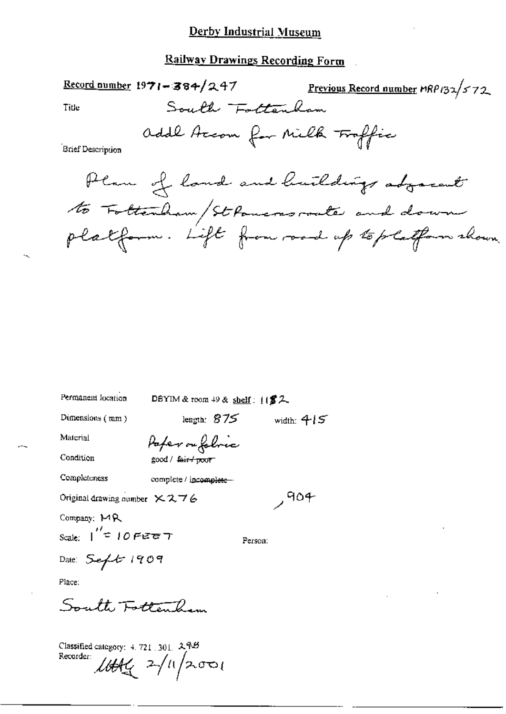#### Railway Drawings Recording Form

South Fottenham

 $\frac{\text{Record number}}{1971 - 384}$  247

Previous Record number MRP132/572

Title

addl Accom for Milk Traffic

**Brief Description** 

Plan of land and buildings adjacent to Foltenham/St Powers route and down platform. Lift from road up to platform shown

| Permanent location                                     | DBYIM & room $49$ & shelf: $1182$ . |              |
|--------------------------------------------------------|-------------------------------------|--------------|
| Dimensions $(mn)$                                      | length: $875$                       | width: $415$ |
| Material                                               | Pafer ou foloric                    |              |
| Condition                                              | good / <del>fair / poor</del>       |              |
| Completeness                                           | complete / incomplete-              |              |
| Original drawing number $\times$ 2, 7 $\rm \acute{e}$  |                                     | ,404         |
| Company: MR                                            |                                     |              |
| $_{\text{Scale:}}$   $^{\prime\prime}$ = 10 Fee $\tau$ |                                     | Person:      |
| Date: $Seft$ 1909                                      |                                     |              |
| Place:                                                 |                                     |              |
| South Fottenham                                        |                                     |              |
|                                                        |                                     |              |

Classified category: 4, 721, 301, 298 Recorder:  $\mathcal{L}\oplus\mathcal{H}_{\mathcal{L}}$  2/11/2001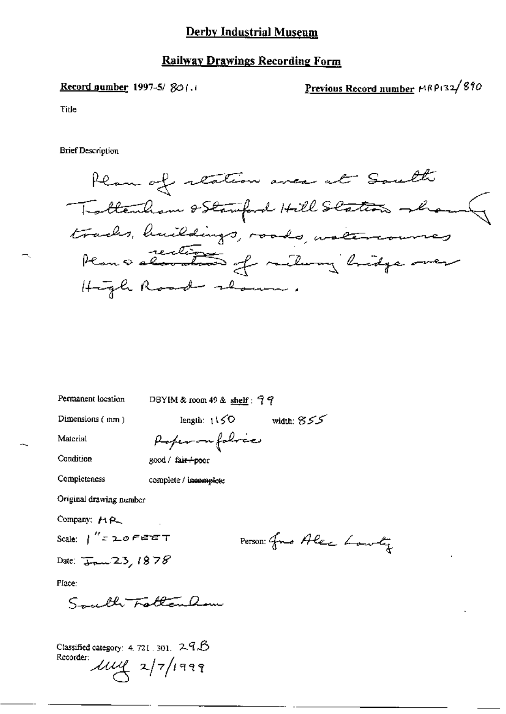#### **Railway Drawings Recording Form**

Record number 1997-5/ $80$ (.)

Previous Record number MRP132/890

Title

**Brief Description** 

Plan of reation area at South Tottenham & Stamford Hill Station whom tracks, huildings, roads, watercourses Plan a section of railway bridge over High Road shown.

Permanent location

DBYIM & room 49 & shelf:  $99$ 

Dimensions (mm)

length:  $1150$  width:  $855$ 

Material

Poper on folice

Condition

Completeness

good / fair+poor

complete / incomplete

Original drawing number

Company: MA

Scale:  $\int'' z \, z \cdot \sigma \, \epsilon$  and  $\tau$ 

Person: Gro Alec Lowly

Date:  $\frac{1}{3}$  23, 1878

Place:

Smuth Fatten am

Classified category: 4, 721, 301,  $2.9B$ Recorder:  $\mu\mu$   $\frac{1}{\sqrt{7}}$  1999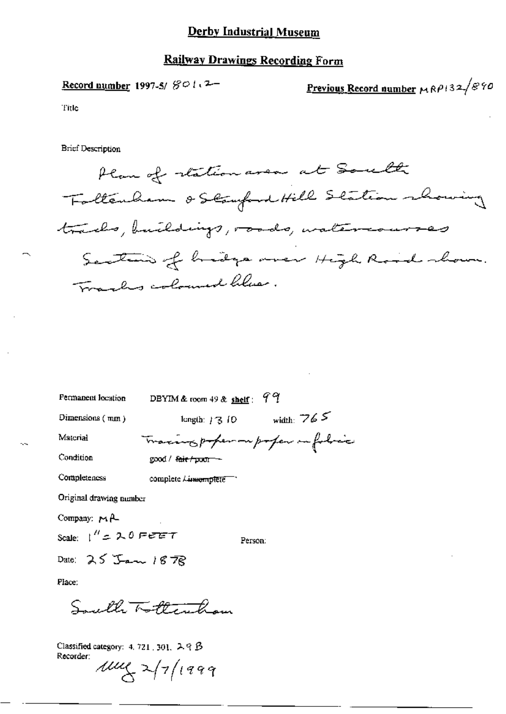#### **Railway Drawings Recording Form**

Record number 1997-5/ $\mathcal{B} \circ l_1$ 2-

Previous Record number MRP132/890

Title

**Brief Description** 

Plan of station area at South Faltenham & Staufend Hill Station rhowing tracks, buildings, roads, watercourses Section of hidge over High Road shown. Tracks coloured librar.

| Permanent location             | 99<br>DBYIM & room $49$ & shelf : |  |
|--------------------------------|-----------------------------------|--|
| Dimensions $(\text{mm})$       | width: $765$<br>length: 73, 10    |  |
| Material                       | Tracing poper on poper infolice   |  |
| Condition                      | good / <del>fair / poor –</del>   |  |
| Completeness                   | complete Linnomplete To           |  |
| Original drawing number        |                                   |  |
| Company: $M \uparrow$          |                                   |  |
| Scale: $1'' = 2.0$ Fere $\tau$ | Person:                           |  |
| Date: $25$ Jan 1878            |                                   |  |
| Place:                         |                                   |  |
|                                | Swell Tottentham                  |  |
|                                |                                   |  |

Classified category: 4, 721, 301,  $\lambda$   $\in$   $\beta$ Recorder:  $\mu\mu$ 2 2/7/1999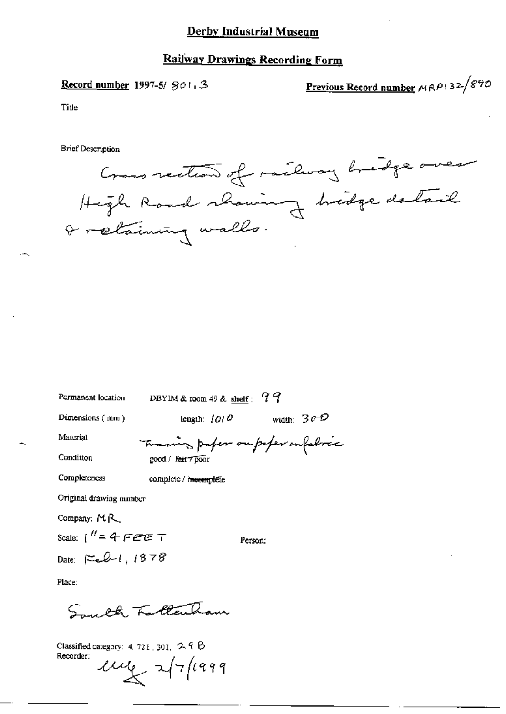#### **Railway Drawings Recording Form**

Record number 1997-5/ $SO1,3$ 

Previous Record number  $MRP+32\sqrt{870}$ 

Title

**Brief Description** 

Cross rection of railway bridge over High Road showing bridge detail I retaining walls.

| Permanent location       | DBYIM & room 49 & shelf: $99$     |              |
|--------------------------|-----------------------------------|--------------|
| Dimensions $(mn)$        | length: $1010$                    | width: $30D$ |
| Material                 | Training poper on poper on fabric |              |
| Condition                | good / Fair 7 poor                |              |
| Completeness             | complete / incomplete             |              |
| Original drawing number  |                                   |              |
| Company: $M_{\text{R}}$  |                                   |              |
| Scale: $1'' = 4$ FEE T   | Person:                           |              |
| Date: $\approx 2.1.1878$ |                                   |              |
| Place:                   |                                   |              |
| فكمصممه                  | illen.                            |              |

Classified category:  $4.721$ ,  $301$ ,  $2.9$   $6$ Recorder:  $\mu$   $\mu$   $\sim$   $\sqrt{7/1999}$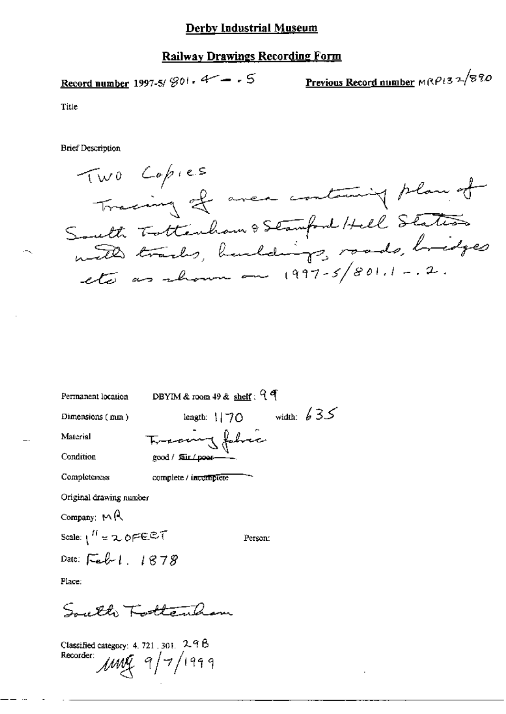#### Railway Drawings Recording Form

Record number 1997-5/ 
$$
\mathcal{D}^{01}
$$
 · 4 -  $\cdot$  5

$$
\underline{\textbf{Previous Record number}}\textcolor{blue}{\textbf{M}\textcolor{blue}{\textbf{R}}\textcolor{blue}{\mathcal{P}l}\textcolor{blue}{\textbf{3}}\textcolor{blue}{\textbf{7}}\textcolor{blue}{\textbf{7}}\textcolor{blue}{\textbf{8}}\textcolor{red}{\textbf{7}}\textcolor{blue}{\textbf{7}}\textcolor{blue}{\textbf{8}}\textcolor{red}{\textbf{7}}\textcolor{blue}{\textbf{8}}\textcolor{red}{\textbf{8}}\textcolor{red}{\textbf{8}}\textcolor{red}{\textbf{9}}\textcolor{red}{\textbf{8}}\textcolor{red}{\textbf{8}}\textcolor{red}{\textbf{8}}\textcolor{red}{\textbf{8}}\textcolor{red}{\textbf{9}}\textcolor{red}{\textbf{8}}\textcolor{red}{\textbf{8}}\textcolor{red}{\textbf{8}}\textcolor{red}{\textbf{8}}\textcolor{red}{\textbf{8}}\textcolor{red}{\textbf{8}}\textcolor{red}{\textbf{8}}\textcolor{red}{\textbf{8}}\textcolor{red}{\textbf{8}}\textcolor{red}{\textbf{8}}\textcolor{red}{\textbf{8}}\textcolor{red}{\textbf{8}}\textcolor{red}{\textbf{8}}\textcolor{red}{\textbf{8}}\textcolor{red}{\textbf{8}}\textcolor{red}{\textbf{8}}\textcolor{red}{\textbf{8}}\textcolor{red}{\textbf{8}}\textcolor{red}{\textbf{8}}\textcolor{red}{\textbf{8}}\textcolor{red}{\textbf{8}}\textcolor{red}{\textbf{8}}\textcolor{red}{\textbf{8}}\textcolor{red}{\textbf{8}}\textcolor{red}{\textbf{8}}\textcolor{red}{\textbf{8}}\textcolor{red}{\textbf{8}}\textcolor{red}{\textbf{8}}\textcolor{red}{\textbf{8}}\textcolor{red}{\textbf{8}}\textcolor{red}{\textbf{8}}\textcolor{red}{\textbf{8}}\textcolor{red}{\textbf{8}}\textcolor{red}{\textbf{8}}\textcolor{red}{\textbf{8}}\textcolor{red}{\textbf{8}}\textcolor{red}{\textbf{8}}\textcolor{red}{\textbf{8}}\textcolor{red}{\textbf{8}}\textcolor{red}{\textbf{8}}\textcolor{red}{\textbf{8}}\textcolor{red}{\textbf{8}}\textcolor{red}{
$$

Title

**Brief Description** 

Two Copies Tracing of aver containing plan of South Tottenham & Stamford Hell States with tracks, harldings, roads, hidges

| Permanent location      | DBYIM & room $49$ & shelf: $9$ $9$ |
|-------------------------|------------------------------------|
| Dimensions (mm)         | width: $635$<br>length: $170$      |
| Material                | Transmy fabric                     |
| Condition               | good / fair / poes-                |
| Completeness            | complete / incomplete              |
| Original drawing number |                                    |
| Company: $M \otimes$    |                                    |
| Scale: $1^H = 2.0$ FEET | Person:                            |
| Date: Feb 1. 1878       |                                    |
| Place:                  |                                    |
|                         |                                    |

Classified category: 4, 721, 301,  $2.98$ Recorder:  $\mu$ ung 9/7/1999

Savette Kottanham